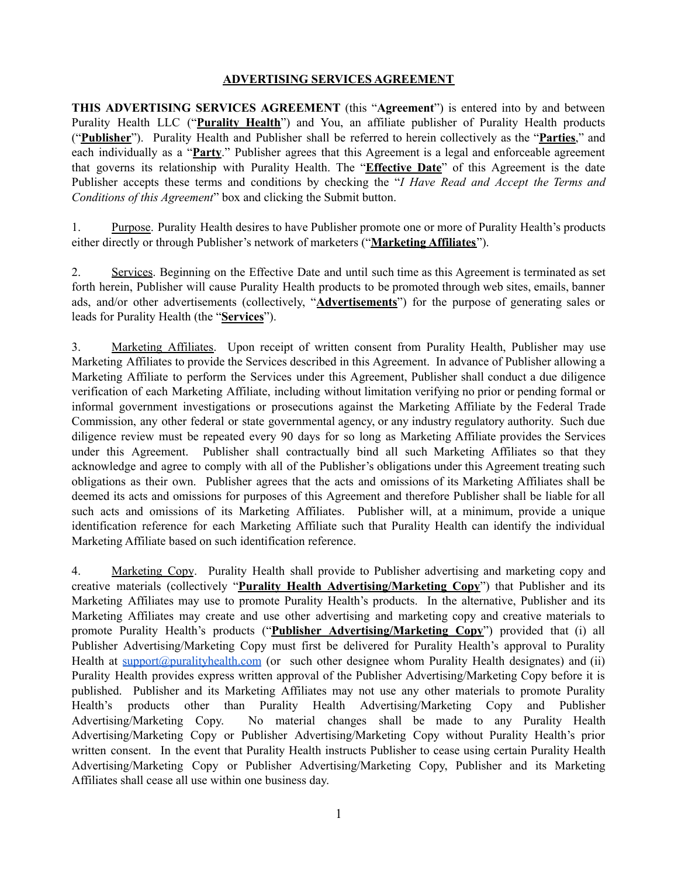## **ADVERTISING SERVICES AGREEMENT**

**THIS ADVERTISING SERVICES AGREEMENT** (this "**Agreement**") is entered into by and between Purality Health LLC ("**Purality Health**") and You, an affiliate publisher of Purality Health products ("**Publisher**"). Purality Health and Publisher shall be referred to herein collectively as the "**Parties**," and each individually as a "**Party**." Publisher agrees that this Agreement is a legal and enforceable agreement that governs its relationship with Purality Health. The "**Effective Date**" of this Agreement is the date Publisher accepts these terms and conditions by checking the "*I Have Read and Accept the Terms and Conditions of this Agreement*" box and clicking the Submit button.

1. Purpose. Purality Health desires to have Publisher promote one or more of Purality Health's products either directly or through Publisher's network of marketers ("**Marketing Affiliates**").

2. Services. Beginning on the Effective Date and until such time as this Agreement is terminated as set forth herein, Publisher will cause Purality Health products to be promoted through web sites, emails, banner ads, and/or other advertisements (collectively, "**Advertisements**") for the purpose of generating sales or leads for Purality Health (the "**Services**").

3. Marketing Affiliates. Upon receipt of written consent from Purality Health, Publisher may use Marketing Affiliates to provide the Services described in this Agreement. In advance of Publisher allowing a Marketing Affiliate to perform the Services under this Agreement, Publisher shall conduct a due diligence verification of each Marketing Affiliate, including without limitation verifying no prior or pending formal or informal government investigations or prosecutions against the Marketing Affiliate by the Federal Trade Commission, any other federal or state governmental agency, or any industry regulatory authority. Such due diligence review must be repeated every 90 days for so long as Marketing Affiliate provides the Services under this Agreement. Publisher shall contractually bind all such Marketing Affiliates so that they acknowledge and agree to comply with all of the Publisher's obligations under this Agreement treating such obligations as their own. Publisher agrees that the acts and omissions of its Marketing Affiliates shall be deemed its acts and omissions for purposes of this Agreement and therefore Publisher shall be liable for all such acts and omissions of its Marketing Affiliates. Publisher will, at a minimum, provide a unique identification reference for each Marketing Affiliate such that Purality Health can identify the individual Marketing Affiliate based on such identification reference.

4. Marketing Copy. Purality Health shall provide to Publisher advertising and marketing copy and creative materials (collectively "**Purality Health Advertising/Marketing Copy**") that Publisher and its Marketing Affiliates may use to promote Purality Health's products. In the alternative, Publisher and its Marketing Affiliates may create and use other advertising and marketing copy and creative materials to promote Purality Health's products ("**Publisher Advertising/Marketing Copy**") provided that (i) all Publisher Advertising/Marketing Copy must first be delivered for Purality Health's approval to Purality Health at [support@puralityhealth.com](mailto:support@puralityhealth.com) (or such other designee whom Purality Health designates) and (ii) Purality Health provides express written approval of the Publisher Advertising/Marketing Copy before it is published. Publisher and its Marketing Affiliates may not use any other materials to promote Purality Health's products other than Purality Health Advertising/Marketing Copy and Publisher Advertising/Marketing Copy. No material changes shall be made to any Purality Health Advertising/Marketing Copy or Publisher Advertising/Marketing Copy without Purality Health's prior written consent. In the event that Purality Health instructs Publisher to cease using certain Purality Health Advertising/Marketing Copy or Publisher Advertising/Marketing Copy, Publisher and its Marketing Affiliates shall cease all use within one business day.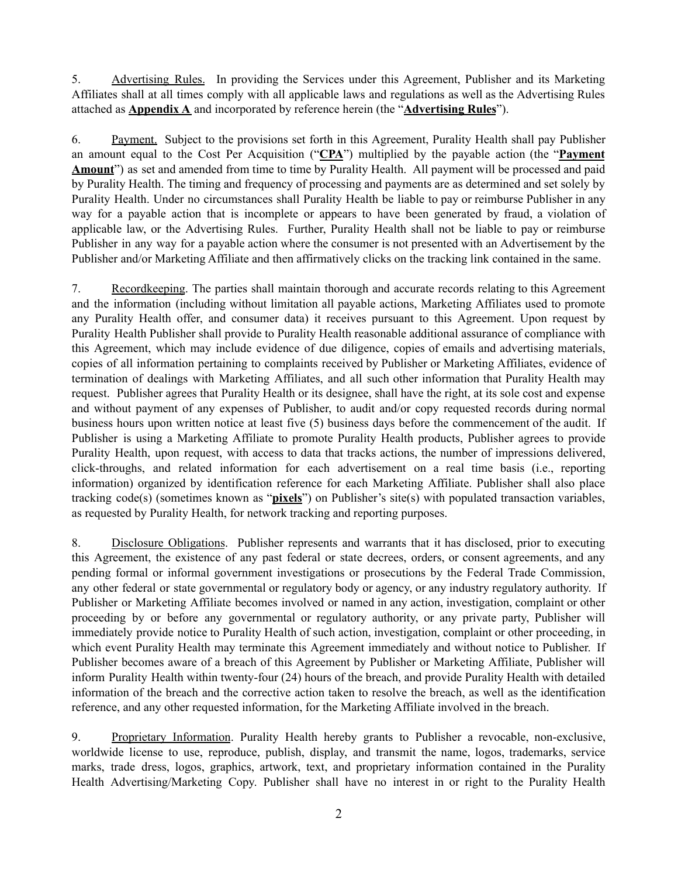5. Advertising Rules. In providing the Services under this Agreement, Publisher and its Marketing Affiliates shall at all times comply with all applicable laws and regulations as well as the Advertising Rules attached as **Appendix A** and incorporated by reference herein (the "**Advertising Rules**").

6. Payment. Subject to the provisions set forth in this Agreement, Purality Health shall pay Publisher an amount equal to the Cost Per Acquisition ("**CPA**") multiplied by the payable action (the "**Payment Amount**") as set and amended from time to time by Purality Health. All payment will be processed and paid by Purality Health. The timing and frequency of processing and payments are as determined and set solely by Purality Health. Under no circumstances shall Purality Health be liable to pay or reimburse Publisher in any way for a payable action that is incomplete or appears to have been generated by fraud, a violation of applicable law, or the Advertising Rules. Further, Purality Health shall not be liable to pay or reimburse Publisher in any way for a payable action where the consumer is not presented with an Advertisement by the Publisher and/or Marketing Affiliate and then affirmatively clicks on the tracking link contained in the same.

7. Recordkeeping. The parties shall maintain thorough and accurate records relating to this Agreement and the information (including without limitation all payable actions, Marketing Affiliates used to promote any Purality Health offer, and consumer data) it receives pursuant to this Agreement. Upon request by Purality Health Publisher shall provide to Purality Health reasonable additional assurance of compliance with this Agreement, which may include evidence of due diligence, copies of emails and advertising materials, copies of all information pertaining to complaints received by Publisher or Marketing Affiliates, evidence of termination of dealings with Marketing Affiliates, and all such other information that Purality Health may request. Publisher agrees that Purality Health or its designee, shall have the right, at its sole cost and expense and without payment of any expenses of Publisher, to audit and/or copy requested records during normal business hours upon written notice at least five (5) business days before the commencement of the audit. If Publisher is using a Marketing Affiliate to promote Purality Health products, Publisher agrees to provide Purality Health, upon request, with access to data that tracks actions, the number of impressions delivered, click-throughs, and related information for each advertisement on a real time basis (i.e., reporting information) organized by identification reference for each Marketing Affiliate. Publisher shall also place tracking code(s) (sometimes known as "**pixels**") on Publisher's site(s) with populated transaction variables, as requested by Purality Health, for network tracking and reporting purposes.

8. Disclosure Obligations. Publisher represents and warrants that it has disclosed, prior to executing this Agreement, the existence of any past federal or state decrees, orders, or consent agreements, and any pending formal or informal government investigations or prosecutions by the Federal Trade Commission, any other federal or state governmental or regulatory body or agency, or any industry regulatory authority. If Publisher or Marketing Affiliate becomes involved or named in any action, investigation, complaint or other proceeding by or before any governmental or regulatory authority, or any private party, Publisher will immediately provide notice to Purality Health of such action, investigation, complaint or other proceeding, in which event Purality Health may terminate this Agreement immediately and without notice to Publisher. If Publisher becomes aware of a breach of this Agreement by Publisher or Marketing Affiliate, Publisher will inform Purality Health within twenty-four (24) hours of the breach, and provide Purality Health with detailed information of the breach and the corrective action taken to resolve the breach, as well as the identification reference, and any other requested information, for the Marketing Affiliate involved in the breach.

9. Proprietary Information. Purality Health hereby grants to Publisher a revocable, non-exclusive, worldwide license to use, reproduce, publish, display, and transmit the name, logos, trademarks, service marks, trade dress, logos, graphics, artwork, text, and proprietary information contained in the Purality Health Advertising/Marketing Copy. Publisher shall have no interest in or right to the Purality Health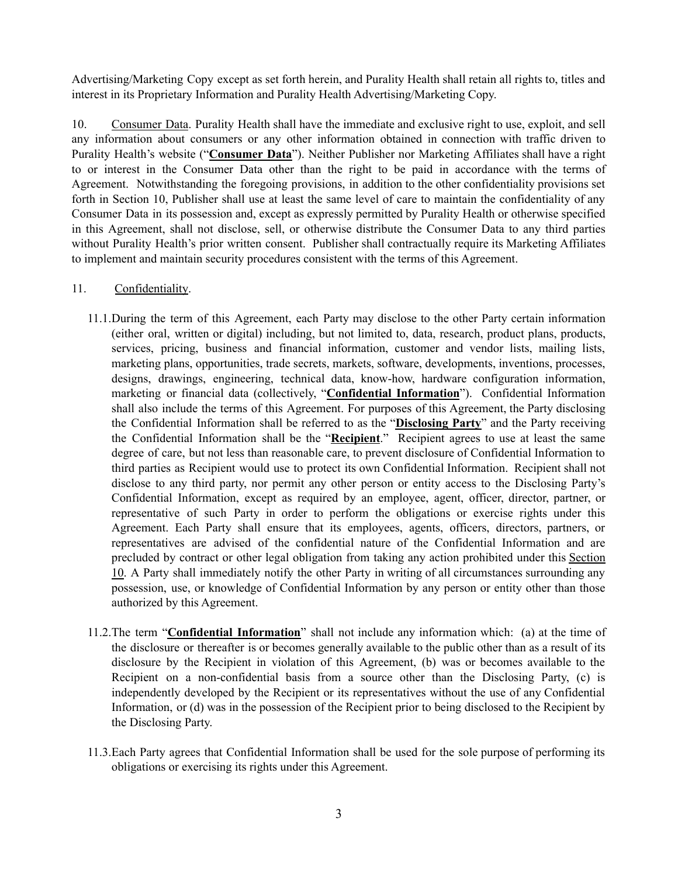Advertising/Marketing Copy except as set forth herein, and Purality Health shall retain all rights to, titles and interest in its Proprietary Information and Purality Health Advertising/Marketing Copy.

10. Consumer Data. Purality Health shall have the immediate and exclusive right to use, exploit, and sell any information about consumers or any other information obtained in connection with traffic driven to Purality Health's website ("**Consumer Data**"). Neither Publisher nor Marketing Affiliates shall have a right to or interest in the Consumer Data other than the right to be paid in accordance with the terms of Agreement. Notwithstanding the foregoing provisions, in addition to the other confidentiality provisions set forth in Section 10, Publisher shall use at least the same level of care to maintain the confidentiality of any Consumer Data in its possession and, except as expressly permitted by Purality Health or otherwise specified in this Agreement, shall not disclose, sell, or otherwise distribute the Consumer Data to any third parties without Purality Health's prior written consent. Publisher shall contractually require its Marketing Affiliates to implement and maintain security procedures consistent with the terms of this Agreement.

### 11. Confidentiality.

- 11.1.During the term of this Agreement, each Party may disclose to the other Party certain information (either oral, written or digital) including, but not limited to, data, research, product plans, products, services, pricing, business and financial information, customer and vendor lists, mailing lists, marketing plans, opportunities, trade secrets, markets, software, developments, inventions, processes, designs, drawings, engineering, technical data, know-how, hardware configuration information, marketing or financial data (collectively, "**Confidential Information**"). Confidential Information shall also include the terms of this Agreement. For purposes of this Agreement, the Party disclosing the Confidential Information shall be referred to as the "**Disclosing Party**" and the Party receiving the Confidential Information shall be the "**Recipient**." Recipient agrees to use at least the same degree of care, but not less than reasonable care, to prevent disclosure of Confidential Information to third parties as Recipient would use to protect its own Confidential Information. Recipient shall not disclose to any third party, nor permit any other person or entity access to the Disclosing Party's Confidential Information, except as required by an employee, agent, officer, director, partner, or representative of such Party in order to perform the obligations or exercise rights under this Agreement. Each Party shall ensure that its employees, agents, officers, directors, partners, or representatives are advised of the confidential nature of the Confidential Information and are precluded by contract or other legal obligation from taking any action prohibited under this Section 10. A Party shall immediately notify the other Party in writing of all circumstances surrounding any possession, use, or knowledge of Confidential Information by any person or entity other than those authorized by this Agreement.
- 11.2.The term "**Confidential Information**" shall not include any information which: (a) at the time of the disclosure or thereafter is or becomes generally available to the public other than as a result of its disclosure by the Recipient in violation of this Agreement, (b) was or becomes available to the Recipient on a non-confidential basis from a source other than the Disclosing Party, (c) is independently developed by the Recipient or its representatives without the use of any Confidential Information, or (d) was in the possession of the Recipient prior to being disclosed to the Recipient by the Disclosing Party.
- 11.3.Each Party agrees that Confidential Information shall be used for the sole purpose of performing its obligations or exercising its rights under this Agreement.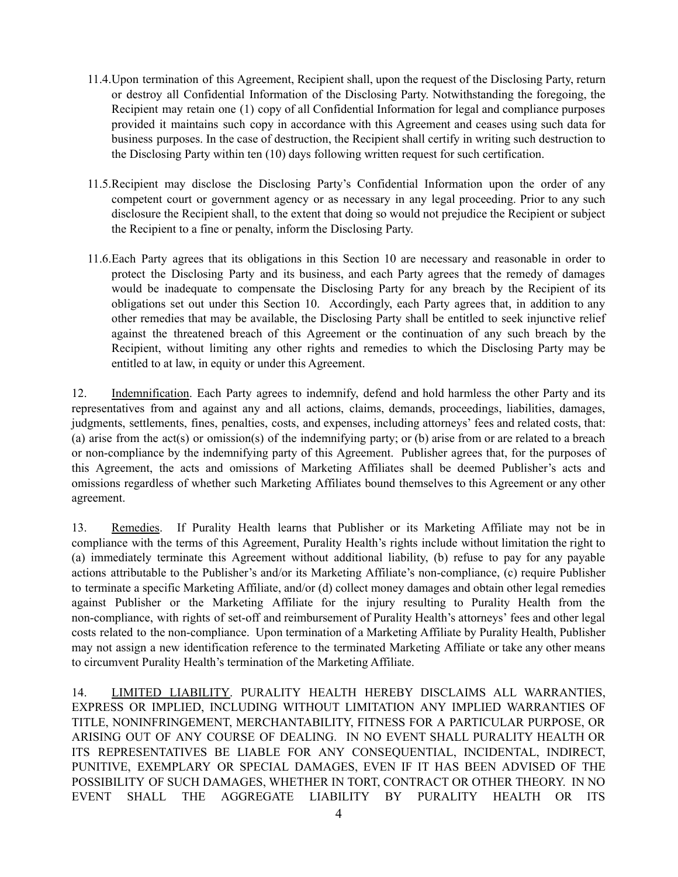- 11.4.Upon termination of this Agreement, Recipient shall, upon the request of the Disclosing Party, return or destroy all Confidential Information of the Disclosing Party. Notwithstanding the foregoing, the Recipient may retain one (1) copy of all Confidential Information for legal and compliance purposes provided it maintains such copy in accordance with this Agreement and ceases using such data for business purposes. In the case of destruction, the Recipient shall certify in writing such destruction to the Disclosing Party within ten (10) days following written request for such certification.
- 11.5.Recipient may disclose the Disclosing Party's Confidential Information upon the order of any competent court or government agency or as necessary in any legal proceeding. Prior to any such disclosure the Recipient shall, to the extent that doing so would not prejudice the Recipient or subject the Recipient to a fine or penalty, inform the Disclosing Party.
- 11.6.Each Party agrees that its obligations in this Section 10 are necessary and reasonable in order to protect the Disclosing Party and its business, and each Party agrees that the remedy of damages would be inadequate to compensate the Disclosing Party for any breach by the Recipient of its obligations set out under this Section 10. Accordingly, each Party agrees that, in addition to any other remedies that may be available, the Disclosing Party shall be entitled to seek injunctive relief against the threatened breach of this Agreement or the continuation of any such breach by the Recipient, without limiting any other rights and remedies to which the Disclosing Party may be entitled to at law, in equity or under this Agreement.

12. Indemnification. Each Party agrees to indemnify, defend and hold harmless the other Party and its representatives from and against any and all actions, claims, demands, proceedings, liabilities, damages, judgments, settlements, fines, penalties, costs, and expenses, including attorneys' fees and related costs, that: (a) arise from the act(s) or omission(s) of the indemnifying party; or (b) arise from or are related to a breach or non-compliance by the indemnifying party of this Agreement. Publisher agrees that, for the purposes of this Agreement, the acts and omissions of Marketing Affiliates shall be deemed Publisher's acts and omissions regardless of whether such Marketing Affiliates bound themselves to this Agreement or any other agreement.

13. Remedies. If Purality Health learns that Publisher or its Marketing Affiliate may not be in compliance with the terms of this Agreement, Purality Health's rights include without limitation the right to (a) immediately terminate this Agreement without additional liability, (b) refuse to pay for any payable actions attributable to the Publisher's and/or its Marketing Affiliate's non-compliance, (c) require Publisher to terminate a specific Marketing Affiliate, and/or (d) collect money damages and obtain other legal remedies against Publisher or the Marketing Affiliate for the injury resulting to Purality Health from the non-compliance, with rights of set-off and reimbursement of Purality Health's attorneys' fees and other legal costs related to the non-compliance. Upon termination of a Marketing Affiliate by Purality Health, Publisher may not assign a new identification reference to the terminated Marketing Affiliate or take any other means to circumvent Purality Health's termination of the Marketing Affiliate.

14. LIMITED LIABILITY. PURALITY HEALTH HEREBY DISCLAIMS ALL WARRANTIES, EXPRESS OR IMPLIED, INCLUDING WITHOUT LIMITATION ANY IMPLIED WARRANTIES OF TITLE, NONINFRINGEMENT, MERCHANTABILITY, FITNESS FOR A PARTICULAR PURPOSE, OR ARISING OUT OF ANY COURSE OF DEALING. IN NO EVENT SHALL PURALITY HEALTH OR ITS REPRESENTATIVES BE LIABLE FOR ANY CONSEQUENTIAL, INCIDENTAL, INDIRECT, PUNITIVE, EXEMPLARY OR SPECIAL DAMAGES, EVEN IF IT HAS BEEN ADVISED OF THE POSSIBILITY OF SUCH DAMAGES, WHETHER IN TORT, CONTRACT OR OTHER THEORY. IN NO EVENT SHALL THE AGGREGATE LIABILITY BY PURALITY HEALTH OR ITS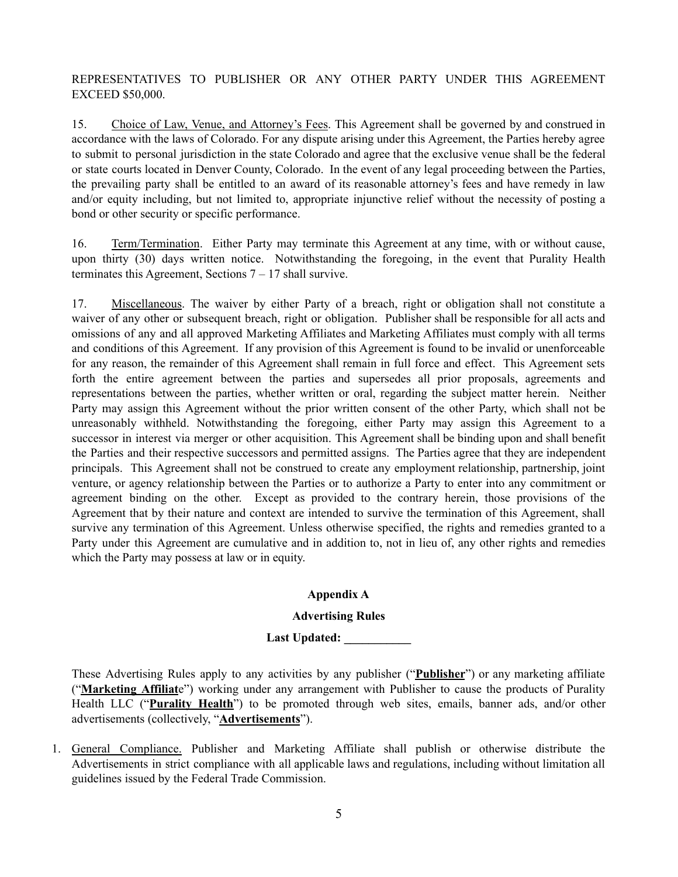REPRESENTATIVES TO PUBLISHER OR ANY OTHER PARTY UNDER THIS AGREEMENT EXCEED \$50,000.

15. Choice of Law, Venue, and Attorney's Fees. This Agreement shall be governed by and construed in accordance with the laws of Colorado. For any dispute arising under this Agreement, the Parties hereby agree to submit to personal jurisdiction in the state Colorado and agree that the exclusive venue shall be the federal or state courts located in Denver County, Colorado. In the event of any legal proceeding between the Parties, the prevailing party shall be entitled to an award of its reasonable attorney's fees and have remedy in law and/or equity including, but not limited to, appropriate injunctive relief without the necessity of posting a bond or other security or specific performance.

16. Term/Termination. Either Party may terminate this Agreement at any time, with or without cause, upon thirty (30) days written notice. Notwithstanding the foregoing, in the event that Purality Health terminates this Agreement, Sections 7 – 17 shall survive.

17. Miscellaneous. The waiver by either Party of a breach, right or obligation shall not constitute a waiver of any other or subsequent breach, right or obligation. Publisher shall be responsible for all acts and omissions of any and all approved Marketing Affiliates and Marketing Affiliates must comply with all terms and conditions of this Agreement. If any provision of this Agreement is found to be invalid or unenforceable for any reason, the remainder of this Agreement shall remain in full force and effect. This Agreement sets forth the entire agreement between the parties and supersedes all prior proposals, agreements and representations between the parties, whether written or oral, regarding the subject matter herein. Neither Party may assign this Agreement without the prior written consent of the other Party, which shall not be unreasonably withheld. Notwithstanding the foregoing, either Party may assign this Agreement to a successor in interest via merger or other acquisition. This Agreement shall be binding upon and shall benefit the Parties and their respective successors and permitted assigns. The Parties agree that they are independent principals. This Agreement shall not be construed to create any employment relationship, partnership, joint venture, or agency relationship between the Parties or to authorize a Party to enter into any commitment or agreement binding on the other. Except as provided to the contrary herein, those provisions of the Agreement that by their nature and context are intended to survive the termination of this Agreement, shall survive any termination of this Agreement. Unless otherwise specified, the rights and remedies granted to a Party under this Agreement are cumulative and in addition to, not in lieu of, any other rights and remedies which the Party may possess at law or in equity.

### **Appendix A**

### **Advertising Rules**

# **Last Updated: \_\_\_\_\_\_\_\_\_\_\_**

These Advertising Rules apply to any activities by any publisher ("**Publisher**") or any marketing affiliate ("**Marketing Affiliat**e") working under any arrangement with Publisher to cause the products of Purality Health LLC ("**Purality Health**") to be promoted through web sites, emails, banner ads, and/or other advertisements (collectively, "**Advertisements**").

1. General Compliance. Publisher and Marketing Affiliate shall publish or otherwise distribute the Advertisements in strict compliance with all applicable laws and regulations, including without limitation all guidelines issued by the Federal Trade Commission.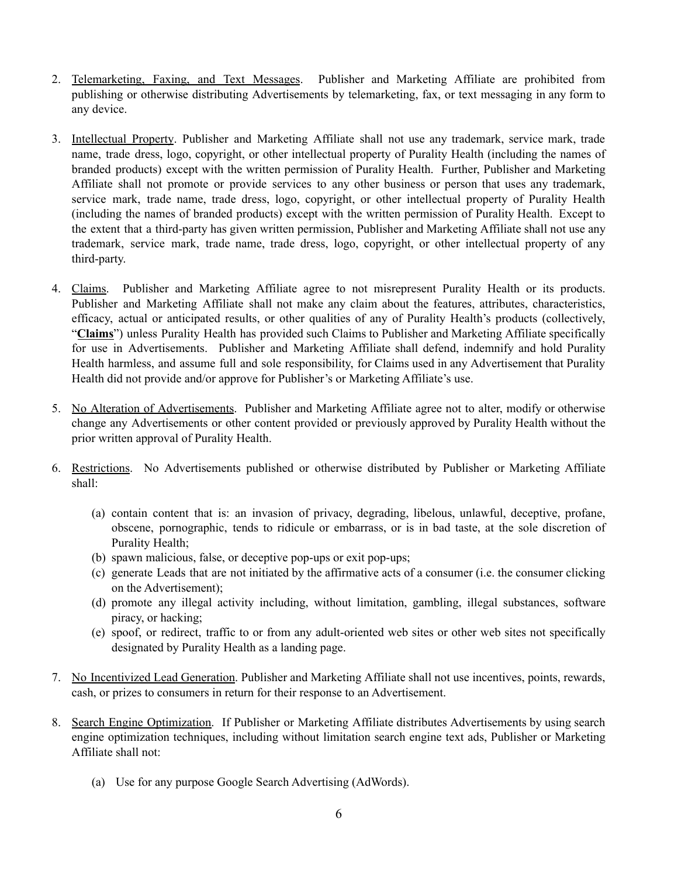- 2. Telemarketing, Faxing, and Text Messages. Publisher and Marketing Affiliate are prohibited from publishing or otherwise distributing Advertisements by telemarketing, fax, or text messaging in any form to any device.
- 3. Intellectual Property. Publisher and Marketing Affiliate shall not use any trademark, service mark, trade name, trade dress, logo, copyright, or other intellectual property of Purality Health (including the names of branded products) except with the written permission of Purality Health. Further, Publisher and Marketing Affiliate shall not promote or provide services to any other business or person that uses any trademark, service mark, trade name, trade dress, logo, copyright, or other intellectual property of Purality Health (including the names of branded products) except with the written permission of Purality Health. Except to the extent that a third-party has given written permission, Publisher and Marketing Affiliate shall not use any trademark, service mark, trade name, trade dress, logo, copyright, or other intellectual property of any third-party.
- 4. Claims. Publisher and Marketing Affiliate agree to not misrepresent Purality Health or its products. Publisher and Marketing Affiliate shall not make any claim about the features, attributes, characteristics, efficacy, actual or anticipated results, or other qualities of any of Purality Health's products (collectively, "**Claims**") unless Purality Health has provided such Claims to Publisher and Marketing Affiliate specifically for use in Advertisements. Publisher and Marketing Affiliate shall defend, indemnify and hold Purality Health harmless, and assume full and sole responsibility, for Claims used in any Advertisement that Purality Health did not provide and/or approve for Publisher's or Marketing Affiliate's use.
- 5. No Alteration of Advertisements. Publisher and Marketing Affiliate agree not to alter, modify or otherwise change any Advertisements or other content provided or previously approved by Purality Health without the prior written approval of Purality Health.
- 6. Restrictions. No Advertisements published or otherwise distributed by Publisher or Marketing Affiliate shall:
	- (a) contain content that is: an invasion of privacy, degrading, libelous, unlawful, deceptive, profane, obscene, pornographic, tends to ridicule or embarrass, or is in bad taste, at the sole discretion of Purality Health;
	- (b) spawn malicious, false, or deceptive pop-ups or exit pop-ups;
	- (c) generate Leads that are not initiated by the affirmative acts of a consumer (i.e. the consumer clicking on the Advertisement);
	- (d) promote any illegal activity including, without limitation, gambling, illegal substances, software piracy, or hacking;
	- (e) spoof, or redirect, traffic to or from any adult-oriented web sites or other web sites not specifically designated by Purality Health as a landing page.
- 7. No Incentivized Lead Generation. Publisher and Marketing Affiliate shall not use incentives, points, rewards, cash, or prizes to consumers in return for their response to an Advertisement.
- 8. Search Engine Optimization. If Publisher or Marketing Affiliate distributes Advertisements by using search engine optimization techniques, including without limitation search engine text ads, Publisher or Marketing Affiliate shall not:
	- (a) Use for any purpose Google Search Advertising (AdWords).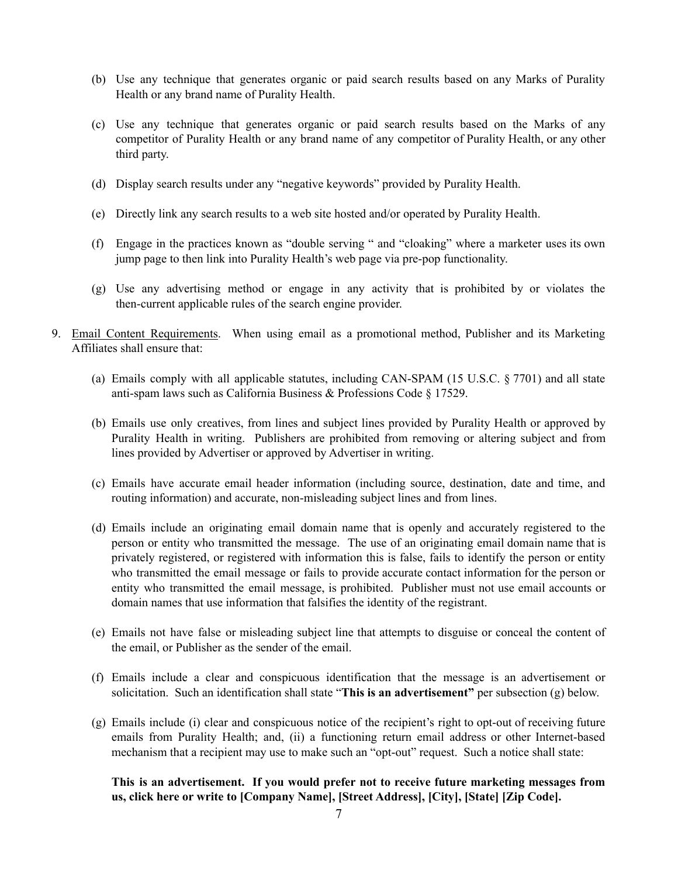- (b) Use any technique that generates organic or paid search results based on any Marks of Purality Health or any brand name of Purality Health.
- (c) Use any technique that generates organic or paid search results based on the Marks of any competitor of Purality Health or any brand name of any competitor of Purality Health, or any other third party.
- (d) Display search results under any "negative keywords" provided by Purality Health.
- (e) Directly link any search results to a web site hosted and/or operated by Purality Health.
- (f) Engage in the practices known as "double serving " and "cloaking" where a marketer uses its own jump page to then link into Purality Health's web page via pre-pop functionality.
- (g) Use any advertising method or engage in any activity that is prohibited by or violates the then-current applicable rules of the search engine provider.
- 9. Email Content Requirements. When using email as a promotional method, Publisher and its Marketing Affiliates shall ensure that:
	- (a) Emails comply with all applicable statutes, including CAN-SPAM (15 U.S.C. § 7701) and all state anti-spam laws such as California Business & Professions Code § 17529.
	- (b) Emails use only creatives, from lines and subject lines provided by Purality Health or approved by Purality Health in writing. Publishers are prohibited from removing or altering subject and from lines provided by Advertiser or approved by Advertiser in writing.
	- (c) Emails have accurate email header information (including source, destination, date and time, and routing information) and accurate, non-misleading subject lines and from lines.
	- (d) Emails include an originating email domain name that is openly and accurately registered to the person or entity who transmitted the message. The use of an originating email domain name that is privately registered, or registered with information this is false, fails to identify the person or entity who transmitted the email message or fails to provide accurate contact information for the person or entity who transmitted the email message, is prohibited. Publisher must not use email accounts or domain names that use information that falsifies the identity of the registrant.
	- (e) Emails not have false or misleading subject line that attempts to disguise or conceal the content of the email, or Publisher as the sender of the email.
	- (f) Emails include a clear and conspicuous identification that the message is an advertisement or solicitation. Such an identification shall state "**This is an advertisement"** per subsection (g) below.
	- (g) Emails include (i) clear and conspicuous notice of the recipient's right to opt-out of receiving future emails from Purality Health; and, (ii) a functioning return email address or other Internet-based mechanism that a recipient may use to make such an "opt-out" request. Such a notice shall state:

**This is an advertisement. If you would prefer not to receive future marketing messages from us, click here or write to [Company Name], [Street Address], [City], [State] [Zip Code].**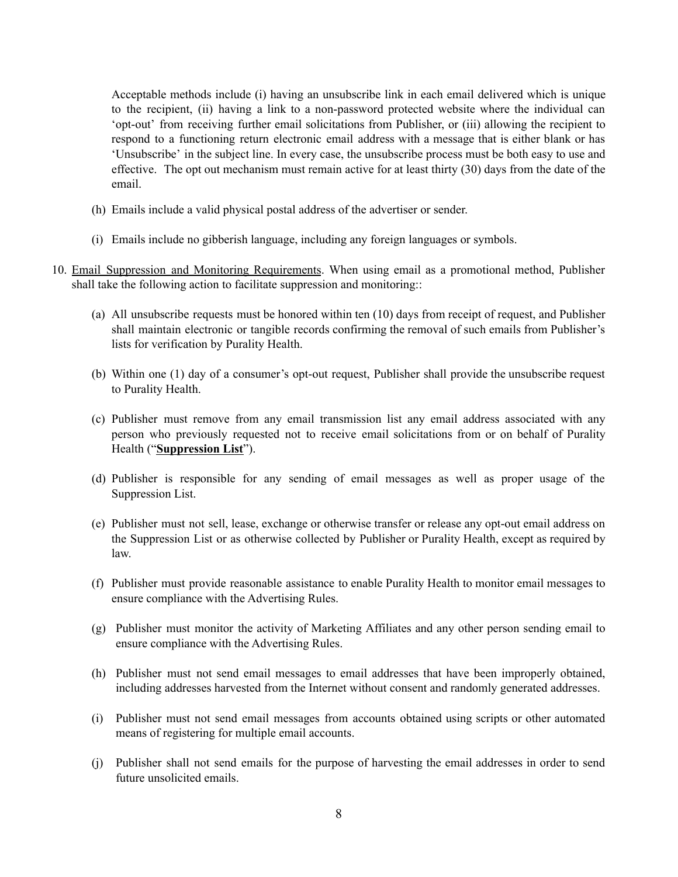Acceptable methods include (i) having an unsubscribe link in each email delivered which is unique to the recipient, (ii) having a link to a non-password protected website where the individual can 'opt-out' from receiving further email solicitations from Publisher, or (iii) allowing the recipient to respond to a functioning return electronic email address with a message that is either blank or has 'Unsubscribe' in the subject line. In every case, the unsubscribe process must be both easy to use and effective. The opt out mechanism must remain active for at least thirty (30) days from the date of the email.

- (h) Emails include a valid physical postal address of the advertiser or sender.
- (i) Emails include no gibberish language, including any foreign languages or symbols.
- 10. Email Suppression and Monitoring Requirements. When using email as a promotional method, Publisher shall take the following action to facilitate suppression and monitoring::
	- (a) All unsubscribe requests must be honored within ten (10) days from receipt of request, and Publisher shall maintain electronic or tangible records confirming the removal of such emails from Publisher's lists for verification by Purality Health.
	- (b) Within one (1) day of a consumer's opt-out request, Publisher shall provide the unsubscribe request to Purality Health.
	- (c) Publisher must remove from any email transmission list any email address associated with any person who previously requested not to receive email solicitations from or on behalf of Purality Health ("**Suppression List**").
	- (d) Publisher is responsible for any sending of email messages as well as proper usage of the Suppression List.
	- (e) Publisher must not sell, lease, exchange or otherwise transfer or release any opt-out email address on the Suppression List or as otherwise collected by Publisher or Purality Health, except as required by law.
	- (f) Publisher must provide reasonable assistance to enable Purality Health to monitor email messages to ensure compliance with the Advertising Rules.
	- (g) Publisher must monitor the activity of Marketing Affiliates and any other person sending email to ensure compliance with the Advertising Rules.
	- (h) Publisher must not send email messages to email addresses that have been improperly obtained, including addresses harvested from the Internet without consent and randomly generated addresses.
	- (i) Publisher must not send email messages from accounts obtained using scripts or other automated means of registering for multiple email accounts.
	- (j) Publisher shall not send emails for the purpose of harvesting the email addresses in order to send future unsolicited emails.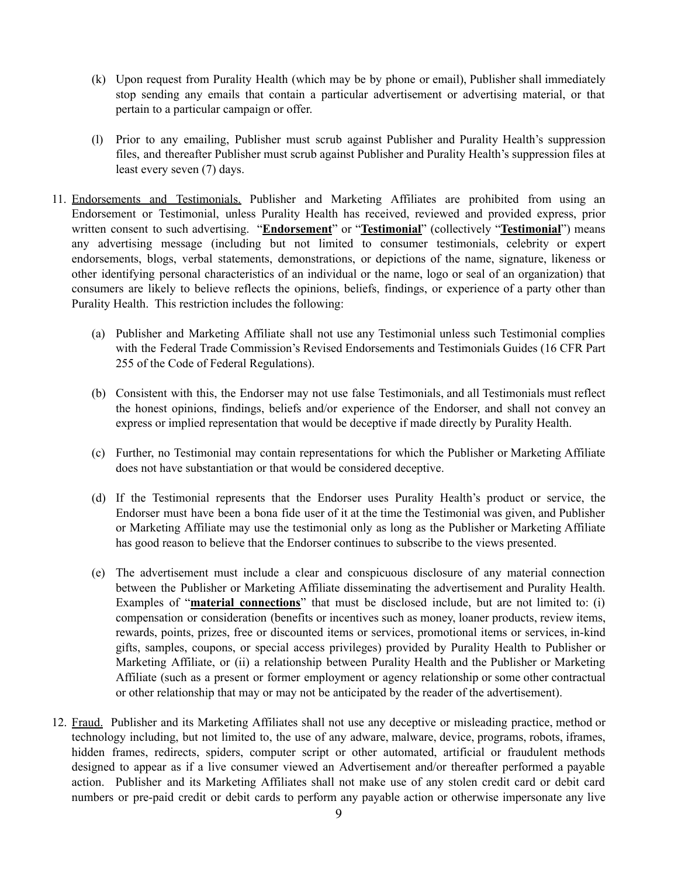- (k) Upon request from Purality Health (which may be by phone or email), Publisher shall immediately stop sending any emails that contain a particular advertisement or advertising material, or that pertain to a particular campaign or offer.
- (l) Prior to any emailing, Publisher must scrub against Publisher and Purality Health's suppression files, and thereafter Publisher must scrub against Publisher and Purality Health's suppression files at least every seven (7) days.
- 11. Endorsements and Testimonials. Publisher and Marketing Affiliates are prohibited from using an Endorsement or Testimonial, unless Purality Health has received, reviewed and provided express, prior written consent to such advertising. "**Endorsement**" or "**Testimonial**" (collectively "**Testimonial**") means any advertising message (including but not limited to consumer testimonials, celebrity or expert endorsements, blogs, verbal statements, demonstrations, or depictions of the name, signature, likeness or other identifying personal characteristics of an individual or the name, logo or seal of an organization) that consumers are likely to believe reflects the opinions, beliefs, findings, or experience of a party other than Purality Health. This restriction includes the following:
	- (a) Publisher and Marketing Affiliate shall not use any Testimonial unless such Testimonial complies with the Federal Trade Commission's Revised Endorsements and Testimonials Guides (16 CFR Part 255 of the Code of Federal Regulations).
	- (b) Consistent with this, the Endorser may not use false Testimonials, and all Testimonials must reflect the honest opinions, findings, beliefs and/or experience of the Endorser, and shall not convey an express or implied representation that would be deceptive if made directly by Purality Health.
	- (c) Further, no Testimonial may contain representations for which the Publisher or Marketing Affiliate does not have substantiation or that would be considered deceptive.
	- (d) If the Testimonial represents that the Endorser uses Purality Health's product or service, the Endorser must have been a bona fide user of it at the time the Testimonial was given, and Publisher or Marketing Affiliate may use the testimonial only as long as the Publisher or Marketing Affiliate has good reason to believe that the Endorser continues to subscribe to the views presented.
	- (e) The advertisement must include a clear and conspicuous disclosure of any material connection between the Publisher or Marketing Affiliate disseminating the advertisement and Purality Health. Examples of "**material connections**" that must be disclosed include, but are not limited to: (i) compensation or consideration (benefits or incentives such as money, loaner products, review items, rewards, points, prizes, free or discounted items or services, promotional items or services, in-kind gifts, samples, coupons, or special access privileges) provided by Purality Health to Publisher or Marketing Affiliate, or (ii) a relationship between Purality Health and the Publisher or Marketing Affiliate (such as a present or former employment or agency relationship or some other contractual or other relationship that may or may not be anticipated by the reader of the advertisement).
- 12. Fraud. Publisher and its Marketing Affiliates shall not use any deceptive or misleading practice, method or technology including, but not limited to, the use of any adware, malware, device, programs, robots, iframes, hidden frames, redirects, spiders, computer script or other automated, artificial or fraudulent methods designed to appear as if a live consumer viewed an Advertisement and/or thereafter performed a payable action. Publisher and its Marketing Affiliates shall not make use of any stolen credit card or debit card numbers or pre-paid credit or debit cards to perform any payable action or otherwise impersonate any live